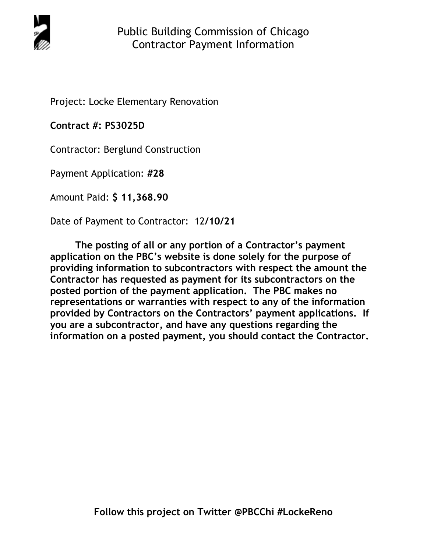

Project: Locke Elementary Renovation

**Contract #: PS3025D**

Contractor: Berglund Construction

Payment Application: **#28** 

Amount Paid: **\$ 11,368.90**

Date of Payment to Contractor: 12**/10/21** 

**The posting of all or any portion of a Contractor's payment application on the PBC's website is done solely for the purpose of providing information to subcontractors with respect the amount the Contractor has requested as payment for its subcontractors on the posted portion of the payment application. The PBC makes no representations or warranties with respect to any of the information provided by Contractors on the Contractors' payment applications. If you are a subcontractor, and have any questions regarding the information on a posted payment, you should contact the Contractor.**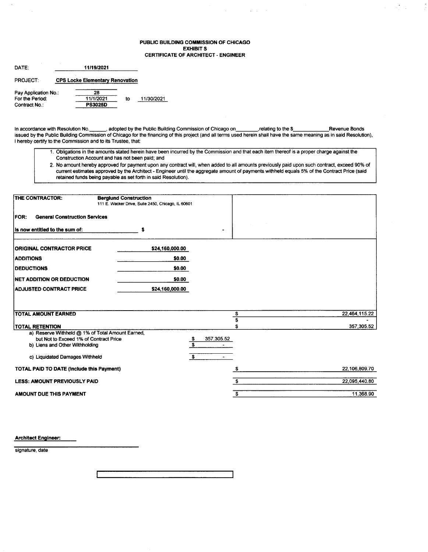#### PUBLIC BUILDING COMMISSION OF CHICAGO **EXHIBIT S CERTIFICATE OF ARCHITECT - ENGINEER**

 $\mathcal{A}^{\mathcal{A}}$  , where  $\mathcal{A}^{\mathcal{A}}$  ,  $\mathcal{A}^{\mathcal{A}}$  ,  $\mathcal{A}^{\mathcal{A}}$  , and

 $\frac{1}{2}$ 

 $\frac{1}{2} \sum_{i=1}^n \frac{1}{2} \sum_{j=1}^n \frac{1}{2} \sum_{j=1}^n \frac{1}{2} \sum_{j=1}^n \frac{1}{2} \sum_{j=1}^n \frac{1}{2} \sum_{j=1}^n \frac{1}{2} \sum_{j=1}^n \frac{1}{2} \sum_{j=1}^n \frac{1}{2} \sum_{j=1}^n \frac{1}{2} \sum_{j=1}^n \frac{1}{2} \sum_{j=1}^n \frac{1}{2} \sum_{j=1}^n \frac{1}{2} \sum_{j=1}^n \frac{1}{2} \sum_{j=$ 

| DATE:                | 11/19/2021                             |    |            |
|----------------------|----------------------------------------|----|------------|
| <b>PROJECT:</b>      | <b>CPS Locke Elementary Renovation</b> |    |            |
| Pay Application No.: | 28                                     |    |            |
| For the Period:      | 11/1/2021                              | to | 11/30/2021 |
| Contract No.:        | PS3025D                                |    |            |

In accordance with Resolution No. \_\_\_\_\_\_, adopted by the Public Building Commission of Chicago on \_\_\_\_\_\_\_\_, relating to the \$ Revenue Bonds issued by the Public Building Commission of Chicago for the financing of this project (and all terms used herein shall have the same meaning as in said Resolution), I hereby certify to the Commission and to its Trustee, that:

- 1. Obligations in the amounts stated herein have been incurred by the Commission and that each item thereof is a proper charge against the Construction Account and has not been paid; and
- 2. No amount hereby approved for payment upon any contract will, when added to all amounts previously paid upon such contract, exceed 90% of current estimates approved by the Architect - Engineer until the aggregate amount of payments withheld equals 5% of the Contract Price (said retained funds being payable as set forth in said Resolution).

| THE CONTRACTOR:                                     | <b>Berglund Construction</b><br>111 E. Wacker Drive, Suite 2450, Chicago, IL 60601 |                                                    |               |
|-----------------------------------------------------|------------------------------------------------------------------------------------|----------------------------------------------------|---------------|
| <b>General Construction Services</b><br><b>FOR:</b> |                                                                                    |                                                    |               |
| Is now entitled to the sum of:                      | s                                                                                  |                                                    |               |
| <b>ORIGINAL CONTRACTOR PRICE</b>                    | \$24,160,000.00                                                                    |                                                    |               |
| <b>ADDITIONS</b>                                    | \$0.00                                                                             |                                                    |               |
| <b>DEDUCTIONS</b>                                   | \$0.00                                                                             |                                                    |               |
| <b>INET ADDITION OR DEDUCTION</b>                   | \$0.00                                                                             |                                                    |               |
| <b>ADJUSTED CONTRACT PRICE</b>                      | \$24,160,000.00                                                                    |                                                    |               |
|                                                     |                                                                                    |                                                    |               |
| <b>TOTAL AMOUNT EARNED</b>                          |                                                                                    | \$                                                 | 22,464,115.22 |
|                                                     |                                                                                    | S                                                  |               |
| <b>TOTAL RETENTION</b>                              |                                                                                    |                                                    | 357,305.52    |
| a) Reserve Withheld @ 1% of Total Amount Earned,    |                                                                                    |                                                    |               |
| but Not to Exceed 1% of Contract Price              |                                                                                    | 357,305.52<br><u>\$</u><br>$\overline{\mathbf{s}}$ |               |
| b) Liens and Other Withholding                      |                                                                                    |                                                    |               |
| c) Liquidated Damages Withheld                      |                                                                                    | S.<br>$\sim$                                       |               |
| <b>TOTAL PAID TO DATE (Include this Payment)</b>    |                                                                                    |                                                    | 22,106,809.70 |
| <b>LESS: AMOUNT PREVIOUSLY PAID</b>                 |                                                                                    | \$                                                 | 22,095,440.80 |
| AMOUNT DUE THIS PAYMENT                             |                                                                                    | \$                                                 | 11,368.90     |

**Architect Engineer:** 

signature date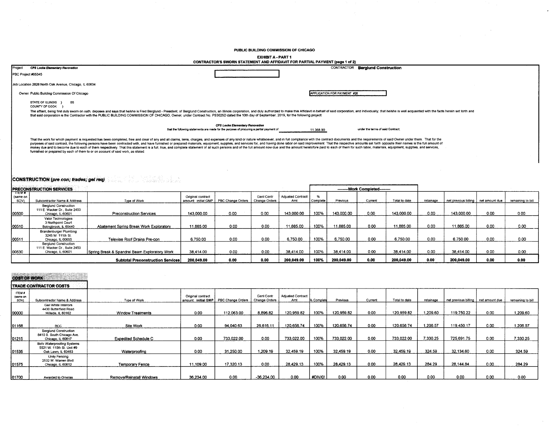PUBLIC BUILDING COMMISSION OF CHICAGO

J.

#### **EXHIBIT A - PART 1**

| CONTRACTOR'S SWORN STATEMENT AND AFFIDAVIT FOR PARTIAL PAYMENT (page 1 of 2)                                                |                                                |                                                                                                                                                                                                                                                                                                                                                                                                                                                                                                                                                                                                                                                                                                                                                                                                                                                                                                                                                                                                                                                                                                                                     |  |  |  |  |  |  |  |
|-----------------------------------------------------------------------------------------------------------------------------|------------------------------------------------|-------------------------------------------------------------------------------------------------------------------------------------------------------------------------------------------------------------------------------------------------------------------------------------------------------------------------------------------------------------------------------------------------------------------------------------------------------------------------------------------------------------------------------------------------------------------------------------------------------------------------------------------------------------------------------------------------------------------------------------------------------------------------------------------------------------------------------------------------------------------------------------------------------------------------------------------------------------------------------------------------------------------------------------------------------------------------------------------------------------------------------------|--|--|--|--|--|--|--|
|                                                                                                                             | <b>Beralund Construction</b><br>CONTRACTOR     |                                                                                                                                                                                                                                                                                                                                                                                                                                                                                                                                                                                                                                                                                                                                                                                                                                                                                                                                                                                                                                                                                                                                     |  |  |  |  |  |  |  |
|                                                                                                                             |                                                |                                                                                                                                                                                                                                                                                                                                                                                                                                                                                                                                                                                                                                                                                                                                                                                                                                                                                                                                                                                                                                                                                                                                     |  |  |  |  |  |  |  |
|                                                                                                                             |                                                |                                                                                                                                                                                                                                                                                                                                                                                                                                                                                                                                                                                                                                                                                                                                                                                                                                                                                                                                                                                                                                                                                                                                     |  |  |  |  |  |  |  |
|                                                                                                                             | APPLICATION FOR PAYMENT #28                    |                                                                                                                                                                                                                                                                                                                                                                                                                                                                                                                                                                                                                                                                                                                                                                                                                                                                                                                                                                                                                                                                                                                                     |  |  |  |  |  |  |  |
|                                                                                                                             |                                                |                                                                                                                                                                                                                                                                                                                                                                                                                                                                                                                                                                                                                                                                                                                                                                                                                                                                                                                                                                                                                                                                                                                                     |  |  |  |  |  |  |  |
|                                                                                                                             |                                                |                                                                                                                                                                                                                                                                                                                                                                                                                                                                                                                                                                                                                                                                                                                                                                                                                                                                                                                                                                                                                                                                                                                                     |  |  |  |  |  |  |  |
| CPS Locke Elementary Renovation<br>that the following statements are made for the purpose of procuring a partial payment of | under the terms of said Contract:<br>11,368.90 |                                                                                                                                                                                                                                                                                                                                                                                                                                                                                                                                                                                                                                                                                                                                                                                                                                                                                                                                                                                                                                                                                                                                     |  |  |  |  |  |  |  |
|                                                                                                                             |                                                |                                                                                                                                                                                                                                                                                                                                                                                                                                                                                                                                                                                                                                                                                                                                                                                                                                                                                                                                                                                                                                                                                                                                     |  |  |  |  |  |  |  |
|                                                                                                                             |                                                | The affiant, being first duly sworn on oath, deposes and says that he/she is Fred Berglund - President, of Berglund Construction, an Illinois corporation, and duly authorized to make this Affidavit in behalf of said corpor<br>that said corporation is the Contractor with the PUBLIC BUILDING COMMISSION OF CHICAGO, Owner, under Contract No. PS3025D dated the 10th day of September, 2019, for the following project:<br>That the work for which payment is requested has been completed, free and clear of any and all claims, liens, charges, and expenses of any kind or nature whatsoever, and in full compliance with the contract documents and t<br>purposes of said contract, the following persons have been contracted with, and have furnished or prepared materials, equipment, supplies, and services for, and having done labor on said improvement. That the respective am<br>money due and to become due to each of them respectively. That this statement is a full, true, and complete statement of all such persons and of the full amount now due and the amount heretofore paid to each of them for su |  |  |  |  |  |  |  |

# **CONSTRUCTION (pre con; trades; gel req)**

|                            | <b>PRECONSTRUCTION SERVICES</b>                                                    |                                               |                                          |                   |                             |                          |          |            | ---------Work Completed--------- |               |           |                      |                |                   |
|----------------------------|------------------------------------------------------------------------------------|-----------------------------------------------|------------------------------------------|-------------------|-----------------------------|--------------------------|----------|------------|----------------------------------|---------------|-----------|----------------------|----------------|-------------------|
| — пем≉<br>(same on<br>SOV) | Subcontractor Name & Address                                                       | Type of Work                                  | Original contract<br>amount: initial GMP | PBC Change Orders | Gent Contr<br>Change Orders | Adjusted Contract<br>Amt | Complete | Previous   | Current                          | Total to date | retainage | net previous billing | net amount due | remaining to bill |
| 100500                     | Berglund Construction<br>111 E. Wacker Dr., Suite 2450<br>Chicago, IL 60601        | Preconstruction Services                      | 143,000.00                               | 0.00              | 0.00                        | 143.000.00               | 100%     | 143,000.00 | 0.00                             | 143.000.00    | 0.00      | 143.000.00           | 0.00           | 0.00              |
| 00510                      | Valor Technologies<br>3 Northpoint Court<br>Bolingbrook, IL 60440                  | Abatement Spring Break Work Exploratory       | 11.885.00                                | 0.00              | 0.00                        | 11,885.00                | 100%     | 11.885.00  | 0.00                             | 11,885.00     | 0.00      | 1.885.00             | 0.00           | 0.00              |
| 00511                      | Brandenburger Plumbing<br>3245 W. 111th St.<br>Chicago, IL 60655                   | Televise Roof Drains Pre-con                  | 6,750.00                                 | 0.00              | 0.00                        | 6.750.00                 | 100%     | 6.750.00   | 0.00                             | 6.750.00      | 0.00      | 6.750.00             | 0.00           | 0.00              |
| 00530                      | <b>Berglund Construction</b><br>111 E. Wacker Dr., Suite 2450<br>Chicago, IL 60601 | Spring Break & Spandrel Beam Exploratory Work | 38,414.00                                | 0.00              | 0.00                        | 38.414.00                | 100%     | 38.414.00  | 0.00                             | 38.414.00     | 0.00      | 38.414.00            | 0.00           | 0.00              |
|                            |                                                                                    | <b>Subtotal Preconstruction Services</b>      | 200,049.00                               | 0.00              | 0.00                        | 200.049.00               | 100%     | 200,049.00 | 0.00                             | 200,049.00    | 0.00      | 200.049.00           | 0.00           | 0.00              |

### **COST OF WORK**

|                            | <b>ITRADE CONTRACTOR COSTS</b>                                                |                             |                   |                                       |                             |                                 |                   |            |         |               |           |                                       |      |                   |
|----------------------------|-------------------------------------------------------------------------------|-----------------------------|-------------------|---------------------------------------|-----------------------------|---------------------------------|-------------------|------------|---------|---------------|-----------|---------------------------------------|------|-------------------|
| ITEM#<br>(same on<br>_SOV) | Subcontractor Name & Address                                                  | Type of Work                | Original contract | amount: initial GMP PBC Change Orders | Genl Contr<br>Change Orders | <b>Adjusted Contract</b><br>Amt | <b>6 Complete</b> | Previous   | Current | Total to date | retainage | net previous billing   net amount due |      | remaining to bill |
| 00000                      | Gail White Interiors<br>4430 Butterfield Road<br>Hillside, IL 60162           | <b>Window Treatments</b>    | 0.00              | 112.063.00                            | 8,896.82                    | 120,959.82                      | 100%              | 120.959.82 | 0.00    | 120.959.82    | 1.209.60  | 119.750.22                            | 0.00 | .209.60           |
| 01168                      | <b>BCC</b>                                                                    | Site Work                   | 0.00              | 94,040.63                             | 26,616.11                   | 120,656.74                      | 100%              | 120,656.74 | 0.00    | 120.656.74    | 1.206.57  | 119.450.17                            | 0.00 | 1,206.57          |
| 01215                      | Berglund Construction<br>8410 S. South Chicago Ave.<br>Chicago, IL 60617      | <b>Expedited Schedule C</b> | 0.00              | 733,022.00                            | 0.00                        | 733.022.00                      | 100%              | 733.022.00 | 0.00    | 733.022.00    | 7.330.25  | 725.691.75                            | 0.00 | 7.330.25          |
| 01535                      | Bofo Waterproofing Systems<br>5521 W. 110th St. Unit #9<br>Oak Lawn, IL 60453 | Waterproofing               | 0.00              | 31,250.00                             | 1,209.19                    | 32,459.19                       | 100%              | 32,459.19  | 0.00    | 32,459.19     | 324.59    | 32.134.60                             | 0.00 | 324.59            |
| 01575                      | Unity Fencing<br>2532 W. Warren Blvd.<br>Chicago, IL 60612                    | <b>Temporary Fence</b>      | 11,109.00         | 17,320.13                             | 0.00                        | 28.429.13                       | 100%              | 28.429.13  | 0.00    | 28.429.13     | 284.29    | 28.144.84                             | 0.00 | 284.29            |
| 01700                      | Awarded to Ornelas                                                            | Remove/Reinstall Windows    | 36.234.00         | 0.00                                  | -36,234.00                  | 0.00                            | #DIV/0!           | 0.00       | 0.00    | 0.00          | 0.00      | 0.00                                  | 0.00 | 0.00              |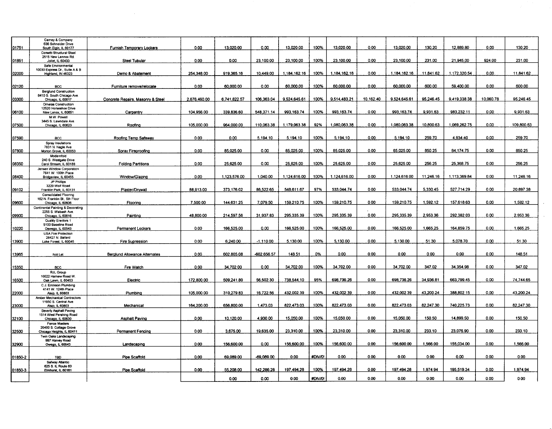|              | Carney & Company<br>636 Schneider Drive                |                                      |              |              |             |              |         |              |           |              |           |              |           |            |
|--------------|--------------------------------------------------------|--------------------------------------|--------------|--------------|-------------|--------------|---------|--------------|-----------|--------------|-----------|--------------|-----------|------------|
| 01751        | South Elgin, IL 60177                                  | Furnish Temporary Lockers            | 0.00         | 13.020.00    | 0.00        | 13.020.00    | 100%    | 13,020.00    | 0.00      | 13,020.00    | 130.20    | 12,889.80    | 0.00      | 130.20     |
|              | Corsetti Structural Steel<br>2515 New Lennox Rd.       |                                      |              |              |             |              |         |              |           |              |           |              |           |            |
| 01851        | Joliet, IL 60433                                       | Steel Tubular                        | 0.00         | 0.00         | 23.100.00   | 23,100.00    | 100%    | 23,100.00    | 0.00      | 23,100.00    | 231.00    | 21.945.00    | 924.00    | 231.00     |
|              | Safe Environmental<br>10030 Express Dr., Suite A & B   |                                      |              |              |             |              |         |              |           |              |           |              |           |            |
| 02000        | Highland, IN 46323                                     | Demo & Abatement                     | 254.348.00   | 919.365.16   | 10.449.00   | 1.184.162.16 | 100%    | 1.184.162.16 | 0.00      | 1,184,162.16 | 11.841.62 | 1,172,320.54 | 0.00      | 11.841.62  |
|              |                                                        |                                      |              |              |             |              |         |              |           |              |           |              |           |            |
| 02120        | <b>BCC</b><br><b>Berglund Construction</b>             | Furniture remove/relocate            | 0.00         | 60.000.00    | 0.00        | 60.000.00    | 100%    | 60,000.00    | 0.00      | 60.000.00    | 600.00    | 59.400.00    | 0.00      | 600.00     |
| 03300        | 8410 S. South Chicago Ave.<br>Chicago, IL 60617        | Concrete Repairs, Masonry & Steel    | 2,676,460.00 | 6.741.822.57 | 106,363.04  | 9,524 645.61 | 100%    | 9,514,483.21 | 10,162.40 | 9,524,645.61 | 95,246.45 | 9,419,338.38 | 10,060.78 | 95,246.45  |
|              | Ornelas Construction                                   |                                      |              |              |             |              |         |              |           |              |           |              |           |            |
| 06100        | 12520 Horseshoe Drive<br>New Lenox, IL 60651           | Carpentry                            | 104.956.00   | 339.836.60   | 548.371.14  | 993.163.74   | 100%    | 993.163.74   | 0.00      | 993.163.74   | 9.931.63  | 983.232.11   | 0.00      | 9,931.63   |
|              | M.W. Powell                                            |                                      |              |              |             |              |         |              |           |              |           |              |           |            |
| 07500        | 3445 S. Lawndale Ave.<br>Chicago, IL 60623             | Roofing                              | 105,000.00   | 964.000.00   | 110.063.38  | 1.179.063.38 | 92%     | 1.080.063.38 | 0.00      | 1.080.063.38 | 10.800.63 | 1.069.262.75 | 0.00      | 109,800.63 |
|              |                                                        |                                      |              |              |             |              |         |              |           |              |           |              |           |            |
| 07590        | BCC                                                    | Roofing Temp Safeway                 | 0.00         | 0.00         | 5.194.10    | 5.194.10     | 100%    | 5.194.10     | 0.00      | 5.194.10     | 259.70    | 4.934.40     | 0.00      | 259.70     |
|              | Spray Insulations<br>7831 N. Nagle Ave.                |                                      |              |              |             |              |         |              |           |              |           |              |           |            |
| 07800        | Morton Grove, IL 60053                                 | Spray Fireproofing                   | 0.00         | 85.025.00    | 0.00        | 85.025.00    | 100%    | 85.025.00    | 0.00      | 85.025.00    | 850.25    | 84.174.75    | 0.00      | 850.25     |
|              | Modernfold<br>240 S. Westgate Drive                    |                                      |              |              |             |              |         |              |           |              |           |              |           |            |
| 08350        | Carol Stream, IL 60188                                 | <b>Folding Partitions</b>            | 0.00         | 25,625.00    | 0.00        | 25,625.00    | 100%    | 25.625.00    | 0.00      | 25.625.00    | 256.25    | 25,368.75    | 0.00      | 256.25     |
|              | Jensen Window Corporation<br>7641 W. 100th Place       |                                      |              |              |             |              |         |              |           |              |           |              |           |            |
| <b>08400</b> | Bridgeview, IL 60455<br>JP Phillips                    | Window/Glazing                       | 0.00         | 1.123.576.00 | 1.040.00    | 1,124,616.00 | 100%    | 1.124.616.00 | 0.00      | 1.124.616.00 | 11.246.16 | 1,113,369.84 | 0.00      | 11.246.16  |
|              | 3220 Wolf Road                                         |                                      |              |              |             |              |         |              |           |              |           |              |           |            |
| 09102        | Franklin Park, IL 60131<br>Consolidated Flooring       | Plaster/Drvwall                      | 88.913.00    | 373,176.02   | 86.522.65   | 548.611.67   | 97%     | 533.044.74   | 0.00      | 533.044.74   | 5.330.45  | 527.714.29   | 0.00      | 20.897.38  |
|              | 162 N. Franklin St., 5th Floor                         |                                      |              |              |             |              |         |              |           |              |           |              |           |            |
| 09600        | Chicago, IL 60606<br>Continental Painting & Decorating | Flooring                             | 7,500.00     | 144,631.25   | 7.079.50    | 159.210.75   | 100%    | 159,210.75   | 0.00      | 159,210.75   | 1,592.12  | 157,618.63   | 0.00      | 1,592.12   |
| 09900        | 2255 S. Wabash Ave.                                    | Painting                             | 48.800.00    | 214.597.56   | 31.937.83   | 295.335.39   | 100%    | 295.335.39   | 0.00      | 295.335.39   | 2.953.36  | 292.382.03   | 0.00      | 2.953.36   |
|              | Chicago, IL 60616<br>Quality Erectors 1                |                                      |              |              |             |              |         |              |           |              |           |              |           |            |
| 10220        | 5100 Baseline Road<br>Oswego, IL 60543                 | Permanent Lockers                    | 0.00         | 166,525.00   | 0.00        | 166,525.00   | 100%    | 166,525.00   | 0.00      | 166,525.00   | 1,665.25  | 164,859.75   | 0.00      | 1,665.25   |
|              | <b>USA Fire Protection</b>                             |                                      |              |              |             |              |         |              |           |              |           |              |           |            |
| 13900        | 28427 N. Ballard<br>Lake Forest, IL 60045              | Fire Supression                      | 0.00         | 6.240.00     | $-1.110.00$ | 5.130.00     | 100%    | 5.130.00     | 0.00      | 5,130.00     | 51.30     | 5,078.70     | 0.00      | 51.30      |
|              |                                                        |                                      |              |              |             |              |         |              |           |              |           |              |           |            |
| 13965        | Not Let                                                | <b>Berglund Allowance Alternates</b> | 0.00         | 602,805.08   | -602.656.57 | 148.51       | 0%      | 0.00         | 0.00      | 0.00         | 0.00      | 0.00         | 0.00      | 148.51     |
|              |                                                        |                                      |              |              |             |              |         |              |           |              |           |              |           |            |
| 15350        | <b>BCC</b>                                             | Fire Watch                           | 0.00         | 34.702.00    | 0.00        | 34.702.00    | 100%    | 34,702.00    | 0.00      | 34.702.00    | 347.02    | 34.354.98    | 0.00      | 347.02     |
|              | <b>RJL Group</b><br>10022 Harnew Road W.               |                                      |              |              |             |              |         |              |           |              |           |              |           |            |
| 16500        | Oak Lawn, IL 60453                                     | Electric                             | 172,800.00   | 509.241.80   | 56.502.30   | 738.544.10   | 95%     | 698.736.26   | 0.00      | 698.736.26   | 34,936.81 | 663,799.45   | 0.00      | 74.744.65  |
|              | C.J. Erickson Plumbing<br>4141 W. 124th Place          |                                      |              |              |             |              |         |              |           |              |           |              |           |            |
| 22000        | Alsip, IL 60803                                        | Plumbing                             | 105,000.00   | 310,279.83   | 16,722.56   | 432.002.39   | 100%    | 432,002.39   | 0.00      | 432.002.39   | 43.200.24 | 388,802.15   | 0.00      | 43.200.24  |
|              | Amber Mechanical Contractors<br>11950 S. Central Ave.  |                                      |              |              |             |              |         |              |           |              |           |              |           |            |
| 23000        | Alsip, IL 60803                                        | Mechanical                           | 164,200.00   | 656,800.00   | 1.473.03    | 822.473.03   | 100%    | 822.473.03   | 0.00      | 822 473 03   | 82.247.30 | 740 225 73   | 0.00      | 82.247.30  |
|              | Beverly Asphalt Paving<br>1514 West Pershing Road      |                                      |              |              |             |              |         |              |           |              |           |              |           |            |
| 32100        | Chicago, IL 60630<br>Fence Masters                     | Asphalt Paving                       | 0.00         | 10,120.00    | 4,930.00    | 15,050.00    | 100%    | 15,050.00    | 0.00      | 15,050.00    | 150.50    | 14,899.50    | 0.00      | 150.50     |
|              | 20400 S. Cottage Grove                                 |                                      |              |              |             |              |         |              |           |              |           |              |           |            |
| 32500        | Chicago Heights, iL 60411<br>Twin Oaks Landscaping     | <b>Permanent Fencing</b>             | 0.00         | 3.675.00     | 19.635.00   | 23.310.00    | 100%    | 23.310.00    | 0.00      | 23.310.00    | 233.10    | 23.076.90    | 0.00      | 233.10     |
|              | 997 Harvey Road                                        |                                      |              |              |             |              |         |              |           |              |           |              | 0.00      |            |
| 32900        | Owego, IL 60543                                        | Landscaping                          | 0.00         | 156.600.00   | 0.00        | 156,600.00   | 100%    | 156,600.00   | 0.00      | 156,600.00   | 1,566.00  | 155.034.00   |           | 1,566.00   |
| 01850-2      |                                                        | Pipe Scaffold                        | 0.00         | 69.089.00    | -69.089.00  | 0.00         | #DIV/0! | 0.00         | 0.00      | 0.00         | 0.00      | 0.00         | 0.00      | 0.00       |
|              | <b>TBD</b><br>Safway Atlantic                          |                                      |              |              |             |              |         |              |           |              |           |              |           |            |
| 01850-3      | 625 S. IL Route 83<br>Elmhurst, IL 60181               | Pipe Scaffold                        | 0.00         | 55.208.00    | 142.286.28  | 197.494.28   | 100%    | 197.494.28   | 0.00      | 197.494.28   | 1.974.94  | 195.519.34   | 0.00      | 1.974.94   |
|              |                                                        |                                      |              |              |             |              |         |              |           |              |           |              |           |            |
|              |                                                        |                                      |              | 0.00         | 0.00        | 0.00         | #DIV/0! | 0.00         | 0.00      | 0.00         | 0.00      | 0.00         | 0.00      | 0.00       |

 $\sim 10^6$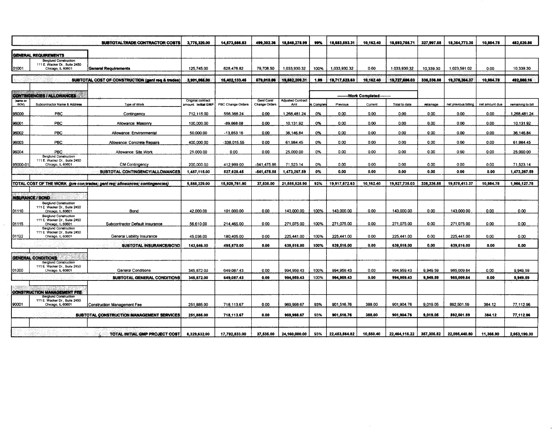|                  |                                                                                    | SUBTOTALTRADE CONTRACTOR COSTS                                               | 3,775,320.00        | 14,573,656.63     | 499,302.36        | 18,848,278.99                   | 99%     | 18,683,593.31 | 10,162.40                       | 18,693,755.71 | 327,997.58 | 18,364,773.35        | 10,984.78      | 482,520.86        |
|------------------|------------------------------------------------------------------------------------|------------------------------------------------------------------------------|---------------------|-------------------|-------------------|---------------------------------|---------|---------------|---------------------------------|---------------|------------|----------------------|----------------|-------------------|
|                  | GENERAL REQUIREMENTS                                                               |                                                                              |                     |                   |                   |                                 |         |               |                                 |               |            |                      |                |                   |
| 01001            | <b>Berglund Construction</b><br>111 E. Wacker Dr., Suite 2450<br>Chicago, IL 60601 | <b>General Requirements</b>                                                  | 125,745.00          | 828,476.82        | 79,708.50         | 1,033,930.32                    | 100%    | 1,033,930.32  | 0.00                            | 1,033,930.32  | 10.339.30  | 1,023,591.02         | 0.00           | 10,339.30         |
|                  |                                                                                    |                                                                              |                     |                   |                   |                                 |         |               |                                 |               |            |                      |                |                   |
|                  |                                                                                    | SUBTOTAL COST OF CONSTRUCTION (gent req & trades)                            | 3.901.065.00        | 15.402.133.45     | 579.010.86        | 19,882,209,31                   | 1.99    | 19,717,523,63 | 10.162.40                       | 19.727.686.03 | 338,336,88 | 19.378.364.37        | 10.984.78      | 492.860.16        |
|                  | CONTINGENCIES / ALLOWANCES                                                         |                                                                              |                     |                   |                   |                                 |         |               | ---------Work Completed-------- |               |            |                      |                |                   |
| (same on<br>SOV) |                                                                                    |                                                                              | Original contract   |                   | <b>Geni Contr</b> | <b>Adjusted Contract</b><br>Amt |         |               |                                 |               |            |                      |                |                   |
|                  | Subcontractor Name & Address                                                       | Type of Work                                                                 | amount: initial GMP | PBC Change Orders | Change Orders     |                                 | Complet | Previous      | Current                         | Total to date | retainage  | net previous billing | net amount due | remaining to bill |
| 95000            | <b>PBC</b>                                                                         | Contingency                                                                  | 712,115.00          | 556,366.24        | 0.00              | 1.268.481.24                    | 0%      | 0.00          | 0.00                            | 0.00          | 0.00       | 0.00                 | 0.00           | 1,268,481.24      |
| 96001            | PBC                                                                                | Allowance: Masonry                                                           | 100,000.00          | -89,868.08        | 0.00              | 10,131.92                       | 0%      | 0.00          | 0.00                            | 0.00          | 0.00       | 0.00                 | 0.00           | 10,131.92         |
| 96002            | PBC                                                                                | Allowance: Environmental                                                     | 50.000.00           | -13.853.16        | 0.00              | 36.146.84                       | 0%      | 0.00          | 0.00                            | 0.00          | 0.00       | 0.00                 | 0.00           | 36.146.84         |
| 96003            | PBC                                                                                | Allowance: Concrete Repairs                                                  | 400,000.00          | -338,015.55       | 0.00              | 61,984.45                       | 0%      | 0.00          | 0.00                            | 0.00          | 0.00       | 0.00                 | 0.00           | 61,984.45         |
| 96004            | PBC                                                                                | Allowance: Site Work                                                         | 25,000.00           | 0.00              | 0.00              | 25,000.00                       | 0%      | 0.00          | 0.00                            | 0.00          | 0.00       | 0.00                 | 0.00           | 25 000.00         |
|                  | <b>Berglund Construction</b><br>111 E. Wacker Dr., Suite 2450                      |                                                                              |                     |                   |                   |                                 |         |               |                                 |               |            |                      |                |                   |
| 95000-01         | Chicago, IL 60601                                                                  | <b>CM Contingency</b>                                                        | 200,000.00          | 412,999.00        | 541,475.86        | 71,523.14                       | 0%      | 0.00          | 0.00                            | 0.00          | 0.00       | 0.00                 | 0.00           | 71,523.14         |
|                  |                                                                                    | SUBTOTAL CONTINGENCY/ALLOWANCES                                              | 1,487,115.00        | 527.628.45        | $-541,475.88$     | 1,473,267.59                    | 0%      | 0.00          | 0.00                            | 0.00          | 0.00       | 0.00                 | 0.00           | 1,473,267.59      |
|                  |                                                                                    | TOTAL COST OF THE WORK (pre con;trades; geni req; allowances; contingencies) | 5,588,229.00        | 15,929,761.90     | 37,535.00         | 21,555,525.90                   | 92%     | 19,917,572.63 | 10,162.40                       | 19,927,735.03 | 338,336.88 | 19,578,413.37        | 10,984.78      | 1,966,127.75      |
|                  |                                                                                    |                                                                              |                     |                   |                   |                                 |         |               |                                 |               |            |                      |                |                   |
|                  | <b>INSURANCE / BOND</b>                                                            |                                                                              |                     |                   |                   |                                 |         |               |                                 |               |            |                      |                |                   |
| 01110            | Berglund Construction<br>111 E Wacker Dr., Suite 2450<br>Chicago, IL 60601         | Bond                                                                         | 42,000.00           | 101.000.00        | 0.00              | 143,000.00                      | 100%    | 143,000.00    | 0.00                            | 143,000.00    | 0.00       | 143,000.00           | 0.00           | 0.00              |
| 01115            | <b>Berglund Construction</b><br>111 E. Wacker Dr., Suite 2450<br>Chicago, IL 60601 | Subcontractor Default Insurance                                              | 56,610.00           | 214,465.00        | 0.00              | 271.075.00                      | 100%    | 271,075.00    | 0.00                            | 271.075.00    | 0.00       | 271.075.00           | 0.00           | 0.00              |
| 01122            | <b>Berglund Construction</b><br>111 E. Wacker Dr., Suite 2450<br>Chicago, IL 60601 | General Liability Insurance                                                  | 45,036.00           | 180,405.00        | 0.00              | 225,441.00                      | 100%    | 225,441.00    | 0.00                            | 225,441.00    | 0.00       | 225,441.00           | 0.00           | 0.00              |
|                  |                                                                                    | SUBTOTAL INSURANCE/BOND                                                      | 143,646.00          | 495,870.00        | 0.00              | 639,516.00                      | 100%    | 639,516.00    | 0.00                            | 639,516.00    | 0.00       | 639,516.00           | 0.00           | 0.00              |
|                  |                                                                                    |                                                                              |                     |                   |                   |                                 |         |               |                                 |               |            |                      |                |                   |
|                  | <b>GENERAL CONDITIONS:</b><br><b>Berglund Construction</b>                         |                                                                              |                     |                   |                   |                                 |         |               |                                 |               |            |                      |                |                   |
| 01000            | 111 E. Wacker Dr., Suite 2450<br>Chicago, IL 60601                                 | General Conditions                                                           | 345.872.00          | 649.087.43        | 0.00              | 994.959.43                      | 100%    | 994,959.43    | 0.00                            | 994.959.43    | 9,949.59   | 985,009.84           | 0.00           | 9.949.59          |
|                  |                                                                                    | SUBTOTAL GENERAL CONDITIONS                                                  | 345,872.00          | 649,087.43        | 0.00              | 994,959.43                      | 100%    | 994,959.43    | 0.00                            | 994,959.43    | 9,949.59   | 985,009.84           | 0.00           | 9,949.59          |
|                  |                                                                                    |                                                                              |                     |                   |                   |                                 |         |               |                                 |               |            |                      |                |                   |
|                  | CONSTRUCTION MANAGEMENT FEE<br><b>Berglund Construction</b>                        |                                                                              |                     |                   |                   |                                 |         |               |                                 |               |            |                      |                |                   |
| 90001            | 111 E. Wacker Dr., Suite 2450<br>Chicago, IL 60601                                 | Construction Management Fee                                                  | 251,885.00          | 718,113.67        | 0.00              | 969,998.67                      | 93%     | 901,516.76    | 388.00                          | 901.904.76    | 9.019.05   | 892.501.59           | 384.12         | 77,112.96         |
|                  |                                                                                    | SUBTOTAL CONSTRUCTION MANAGEMENT SERVICES                                    | 251,885.00          | 718,113.67        | 0.00              | 969,998.67                      | 93%     | 901,516.76    | 388.00                          | 901,904.76    | 9,019.05   | 892,501.59           | 384.12         | 77,112.96         |
|                  |                                                                                    |                                                                              |                     |                   |                   |                                 |         |               |                                 |               |            |                      |                |                   |
|                  |                                                                                    | TOTAL INITIAL GMP PROJECT COST                                               | 6,329,632.00        | 17,792,833.00     | 37,535.00         | 24,160,000.00                   | 93%     | 22,453,564.82 | 10,550.40                       | 22,464,115.22 | 357,305.52 | 22,095,440.80        | 11,368.90      | 2,063,190.30      |

t.